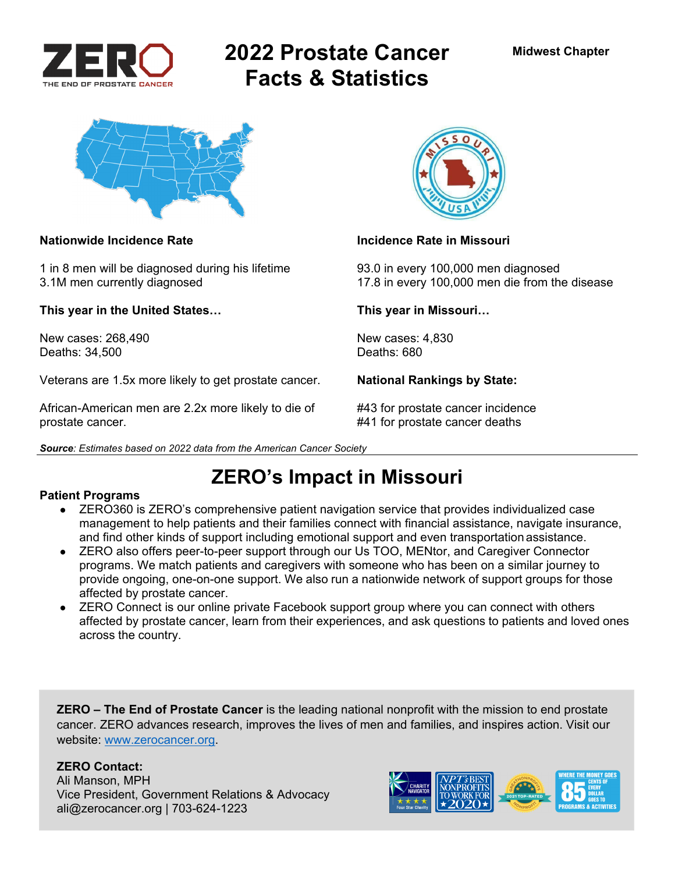

# **2022 Prostate Cancer Facts & Statistics**



1 in 8 men will be diagnosed during his lifetime 93.0 in every 100,000 men diagnosed

**This year in the United States… This year in Missouri…** 

New cases: 268,490 New cases: 4,830<br>Deaths: 34.500 Deaths: 680 Deaths: 34,500

Veterans are 1.5x more likely to get prostate cancer. **National Rankings by State:** 

African-American men are 2.2x more likely to die of #43 for prostate cancer incidence prostate cancer. #41 for prostate cancer deaths





### **Nationwide Incidence Rate Incidence Rate in Missouri**

3.1M men currently diagnosed 17.8 in every 100,000 men die from the disease

# **ZERO's Impact in Missouri**

### **Patient Programs**

- ZERO360 is ZERO's comprehensive patient navigation service that provides individualized case management to help patients and their families connect with financial assistance, navigate insurance, and find other kinds of support including emotional support and even transportation assistance.
- ZERO also offers peer-to-peer support through our Us TOO, MENtor, and Caregiver Connector programs. We match patients and caregivers with someone who has been on a similar journey to provide ongoing, one-on-one support. We also run a nationwide network of support groups for those affected by prostate cancer.
- ZERO Connect is our online private Facebook support group where you can connect with others affected by prostate cancer, learn from their experiences, and ask questions to patients and loved ones across the country.

**ZERO – The End of Prostate Cancer** is the leading national nonprofit with the mission to end prostate cancer. ZERO advances research, improves the lives of men and families, and inspires action. Visit our website: www.zerocancer.org.

## **ZERO Contact:**

Ali Manson, MPH Vice President, Government Relations & Advocacy ali@zerocancer.org | 703-624-1223